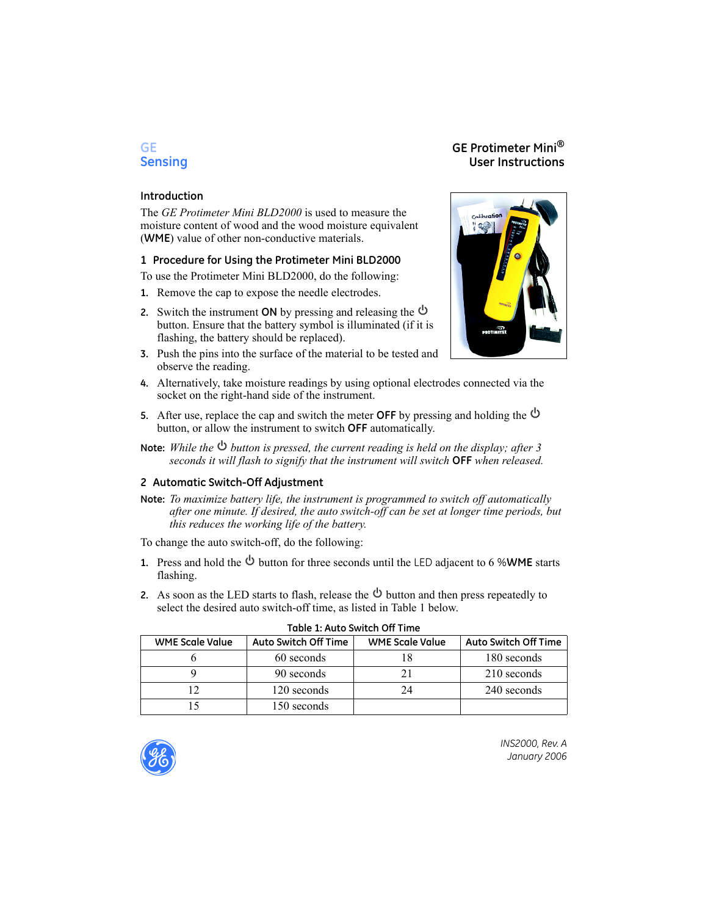# **GE GE Protimeter Mini® User Instructions**

### **Introduction**

The *GE Protimeter Mini BLD2000* is used to measure the moisture content of wood and the wood moisture equivalent (**WME**) value of other non-conductive materials.

## **1 Procedure for Using the Protimeter Mini BLD2000**

To use the Protimeter Mini BLD2000, do the following:

- **1.** Remove the cap to expose the needle electrodes.
- **2.** Switch the instrument **ON** by pressing and releasing the button. Ensure that the battery symbol is illuminated (if it is flashing, the battery should be replaced).
- **3.** Push the pins into the surface of the material to be tested and observe the reading.
- Colibratio<mark>n</mark> 43 **PROTUNITE**
- **4.** Alternatively, take moisture readings by using optional electrodes connected via the socket on the right-hand side of the instrument.
- **5.** After use, replace the cap and switch the meter **OFF** by pressing and holding the button, or allow the instrument to switch **OFF** automatically.
- **Note:** *While the button is pressed, the current reading is held on the display; after 3 seconds it will flash to signify that the instrument will switch* **OFF** *when released.*

# **2 Automatic Switch-Off Adjustment**

**Note:** *To maximize battery life, the instrument is programmed to switch off automatically after one minute. If desired, the auto switch-off can be set at longer time periods, but this reduces the working life of the battery.* 

To change the auto switch-off, do the following:

- **1.** Press and hold the  $\Phi$  button for three seconds until the LED adjacent to 6 %WME starts flashing.
- **2.** As soon as the LED starts to flash, release the  $\Phi$  button and then press repeatedly to select the desired auto switch-off time, as listed in Table 1 below.

| <b>WME Scale Value</b> | <b>Auto Switch Off Time</b> | <b>WME Scale Value</b> | <b>Auto Switch Off Time</b> |
|------------------------|-----------------------------|------------------------|-----------------------------|
|                        | 60 seconds                  |                        | 180 seconds                 |
|                        | 90 seconds                  |                        | 210 seconds                 |
|                        | 120 seconds                 | 24                     | 240 seconds                 |
|                        | 150 seconds                 |                        |                             |

#### **Table 1: Auto Switch Off Time**